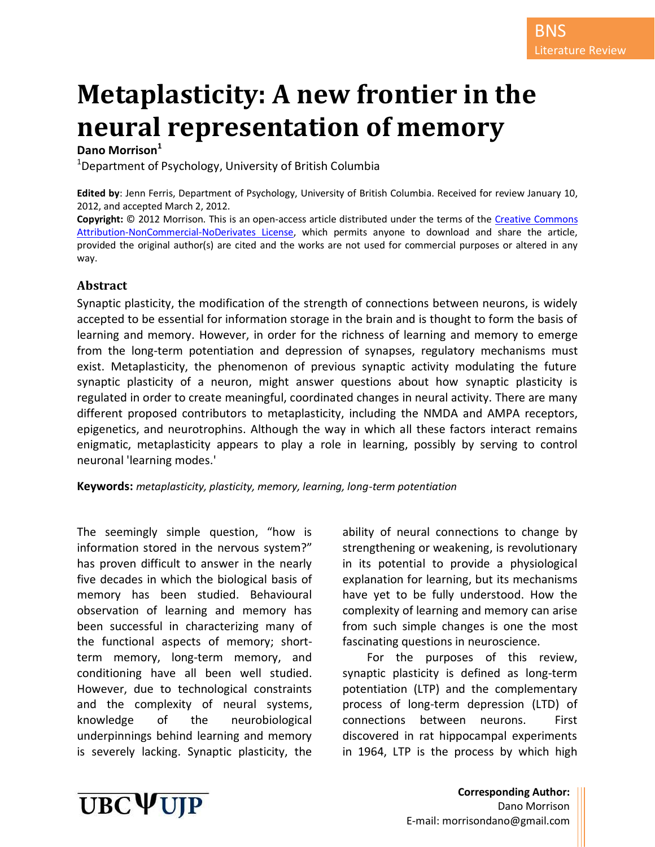# **Metaplasticity: A new frontier in the neural representation of memory**

## **Dano Morrison<sup>1</sup>**

 $1$ Department of Psychology, University of British Columbia

**Edited by**: Jenn Ferris, Department of Psychology, University of British Columbia. Received for review January 10, 2012, and accepted March 2, 2012.

**Copyright:** © 2012 Morrison. This is an open-access article distributed under the terms of the [Creative Commons](http://creativecommons.org/licenses/by-nc-nd/3.0/legalcode)  [Attribution-NonCommercial-NoDerivates License,](http://creativecommons.org/licenses/by-nc-nd/3.0/legalcode) which permits anyone to download and share the article, provided the original author(s) are cited and the works are not used for commercial purposes or altered in any way.

#### **Abstract**

Synaptic plasticity, the modification of the strength of connections between neurons, is widely accepted to be essential for information storage in the brain and is thought to form the basis of learning and memory. However, in order for the richness of learning and memory to emerge from the long-term potentiation and depression of synapses, regulatory mechanisms must exist. Metaplasticity, the phenomenon of previous synaptic activity modulating the future synaptic plasticity of a neuron, might answer questions about how synaptic plasticity is regulated in order to create meaningful, coordinated changes in neural activity. There are many different proposed contributors to metaplasticity, including the NMDA and AMPA receptors, epigenetics, and neurotrophins. Although the way in which all these factors interact remains enigmatic, metaplasticity appears to play a role in learning, possibly by serving to control neuronal 'learning modes.'

**Keywords:** *metaplasticity, plasticity, memory, learning, long-term potentiation*

The seemingly simple question, "how is information stored in the nervous system?" has proven difficult to answer in the nearly five decades in which the biological basis of memory has been studied. Behavioural observation of learning and memory has been successful in characterizing many of the functional aspects of memory; shortterm memory, long-term memory, and conditioning have all been well studied. However, due to technological constraints and the complexity of neural systems, knowledge of the neurobiological underpinnings behind learning and memory is severely lacking. Synaptic plasticity, the

ability of neural connections to change by strengthening or weakening, is revolutionary in its potential to provide a physiological explanation for learning, but its mechanisms have yet to be fully understood. How the complexity of learning and memory can arise from such simple changes is one the most fascinating questions in neuroscience.

For the purposes of this review, synaptic plasticity is defined as long-term potentiation (LTP) and the complementary process of long-term depression (LTD) of connections between neurons. First discovered in rat hippocampal experiments in 1964, LTP is the process by which high

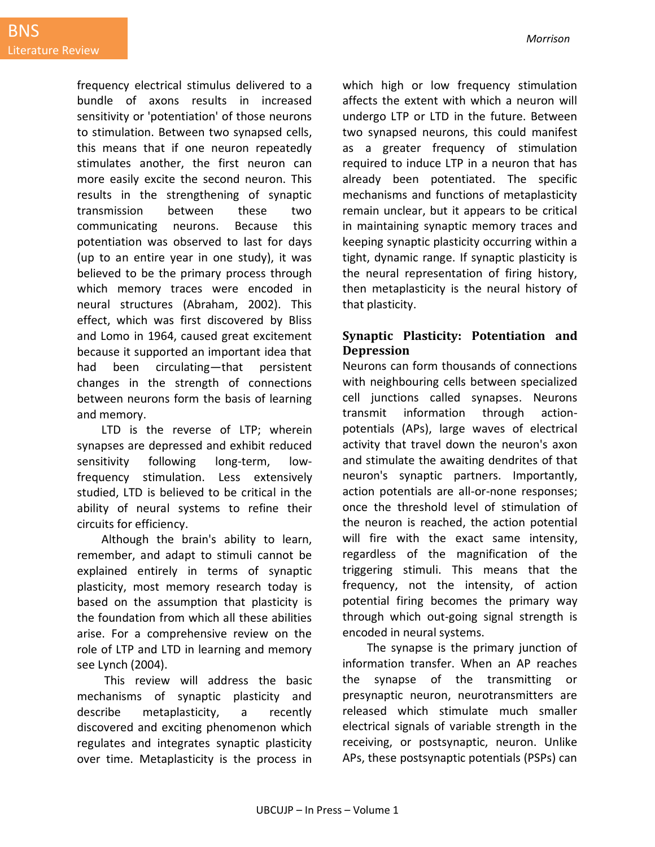frequency electrical stimulus delivered to a bundle of axons results in increased sensitivity or 'potentiation' of those neurons to stimulation. Between two synapsed cells, this means that if one neuron repeatedly stimulates another, the first neuron can more easily excite the second neuron. This results in the strengthening of synaptic transmission between these two communicating neurons. Because this potentiation was observed to last for days (up to an entire year in one study), it was believed to be the primary process through which memory traces were encoded in neural structures (Abraham, 2002). This effect, which was first discovered by Bliss and Lomo in 1964, caused great excitement because it supported an important idea that had been circulating—that persistent changes in the strength of connections between neurons form the basis of learning and memory.

LTD is the reverse of LTP; wherein synapses are depressed and exhibit reduced sensitivity following long-term, lowfrequency stimulation. Less extensively studied, LTD is believed to be critical in the ability of neural systems to refine their circuits for efficiency.

Although the brain's ability to learn, remember, and adapt to stimuli cannot be explained entirely in terms of synaptic plasticity, most memory research today is based on the assumption that plasticity is the foundation from which all these abilities arise. For a comprehensive review on the role of LTP and LTD in learning and memory see Lynch (2004).

This review will address the basic mechanisms of synaptic plasticity and describe metaplasticity, a recently discovered and exciting phenomenon which regulates and integrates synaptic plasticity over time. Metaplasticity is the process in which high or low frequency stimulation affects the extent with which a neuron will undergo LTP or LTD in the future. Between two synapsed neurons, this could manifest as a greater frequency of stimulation required to induce LTP in a neuron that has already been potentiated. The specific mechanisms and functions of metaplasticity remain unclear, but it appears to be critical in maintaining synaptic memory traces and keeping synaptic plasticity occurring within a tight, dynamic range. If synaptic plasticity is the neural representation of firing history, then metaplasticity is the neural history of that plasticity.

## **Synaptic Plasticity: Potentiation and Depression**

Neurons can form thousands of connections with neighbouring cells between specialized cell junctions called synapses. Neurons transmit information through actionpotentials (APs), large waves of electrical activity that travel down the neuron's axon and stimulate the awaiting dendrites of that neuron's synaptic partners. Importantly, action potentials are all-or-none responses; once the threshold level of stimulation of the neuron is reached, the action potential will fire with the exact same intensity, regardless of the magnification of the triggering stimuli. This means that the frequency, not the intensity, of action potential firing becomes the primary way through which out-going signal strength is encoded in neural systems.

The synapse is the primary junction of information transfer. When an AP reaches the synapse of the transmitting or presynaptic neuron, neurotransmitters are released which stimulate much smaller electrical signals of variable strength in the receiving, or postsynaptic, neuron. Unlike APs, these postsynaptic potentials (PSPs) can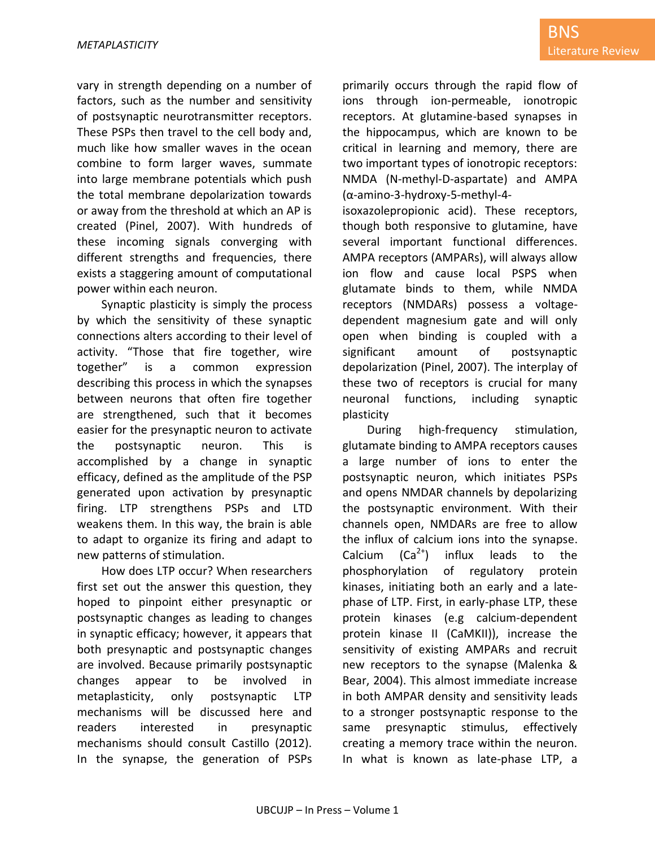vary in strength depending on a number of factors, such as the number and sensitivity of postsynaptic neurotransmitter receptors. These PSPs then travel to the cell body and, much like how smaller waves in the ocean combine to form larger waves, summate into large membrane potentials which push the total membrane depolarization towards or away from the threshold at which an AP is created (Pinel, 2007). With hundreds of these incoming signals converging with different strengths and frequencies, there exists a staggering amount of computational power within each neuron.

Synaptic plasticity is simply the process by which the sensitivity of these synaptic connections alters according to their level of activity. "Those that fire together, wire together" is a common expression describing this process in which the synapses between neurons that often fire together are strengthened, such that it becomes easier for the presynaptic neuron to activate the postsynaptic neuron. This is accomplished by a change in synaptic efficacy, defined as the amplitude of the PSP generated upon activation by presynaptic firing. LTP strengthens PSPs and LTD weakens them. In this way, the brain is able to adapt to organize its firing and adapt to new patterns of stimulation.

How does LTP occur? When researchers first set out the answer this question, they hoped to pinpoint either presynaptic or postsynaptic changes as leading to changes in synaptic efficacy; however, it appears that both presynaptic and postsynaptic changes are involved. Because primarily postsynaptic changes appear to be involved in metaplasticity, only postsynaptic LTP mechanisms will be discussed here and readers interested in presynaptic mechanisms should consult Castillo (2012). In the synapse, the generation of PSPs primarily occurs through the rapid flow of ions through ion-permeable, ionotropic receptors. At glutamine-based synapses in the hippocampus, which are known to be critical in learning and memory, there are two important types of ionotropic receptors: NMDA (N-methyl-D-aspartate) and AMPA (α-amino-3-hydroxy-5-methyl-4-

isoxazolepropionic acid). These receptors, though both responsive to glutamine, have several important functional differences. AMPA receptors (AMPARs), will always allow ion flow and cause local PSPS when glutamate binds to them, while NMDA receptors (NMDARs) possess a voltagedependent magnesium gate and will only open when binding is coupled with a significant amount of postsynaptic depolarization (Pinel, 2007). The interplay of these two of receptors is crucial for many neuronal functions, including synaptic plasticity

During high-frequency stimulation, glutamate binding to AMPA receptors causes a large number of ions to enter the postsynaptic neuron, which initiates PSPs and opens NMDAR channels by depolarizing the postsynaptic environment. With their channels open, NMDARs are free to allow the influx of calcium ions into the synapse. Calcium  $(Ca^{2+})$  influx leads to the phosphorylation of regulatory protein kinases, initiating both an early and a latephase of LTP. First, in early-phase LTP, these protein kinases (e.g calcium-dependent protein kinase II (CaMKII)), increase the sensitivity of existing AMPARs and recruit new receptors to the synapse (Malenka & Bear, 2004). This almost immediate increase in both AMPAR density and sensitivity leads to a stronger postsynaptic response to the same presynaptic stimulus, effectively creating a memory trace within the neuron. In what is known as late-phase LTP, a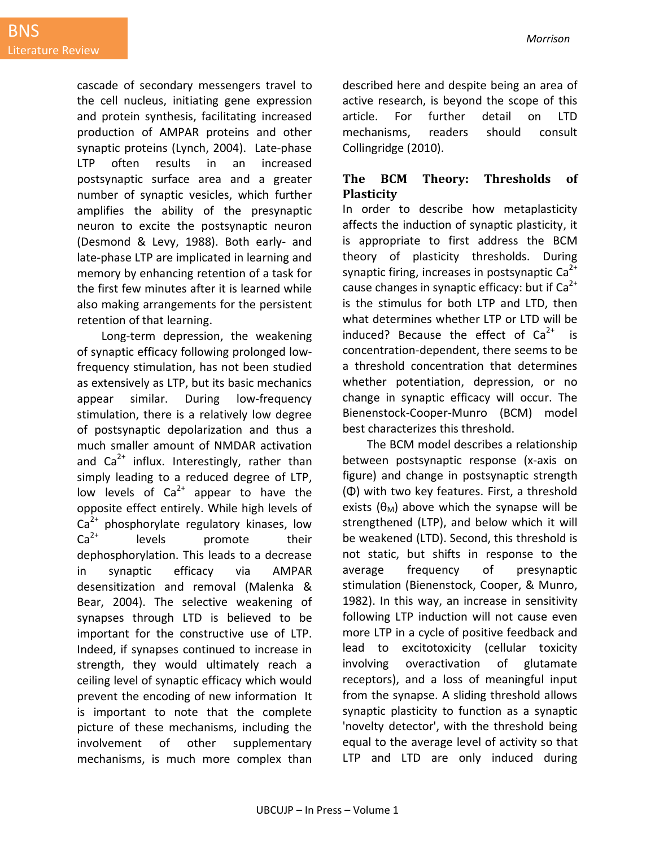cascade of secondary messengers travel to the cell nucleus, initiating gene expression and protein synthesis, facilitating increased production of AMPAR proteins and other synaptic proteins (Lynch, 2004). Late-phase LTP often results in an increased postsynaptic surface area and a greater number of synaptic vesicles, which further amplifies the ability of the presynaptic neuron to excite the postsynaptic neuron (Desmond & Levy, 1988). Both early- and late-phase LTP are implicated in learning and memory by enhancing retention of a task for the first few minutes after it is learned while also making arrangements for the persistent retention of that learning.

Long-term depression, the weakening of synaptic efficacy following prolonged lowfrequency stimulation, has not been studied as extensively as LTP, but its basic mechanics appear similar. During low-frequency stimulation, there is a relatively low degree of postsynaptic depolarization and thus a much smaller amount of NMDAR activation and  $Ca^{2+}$  influx. Interestingly, rather than simply leading to a reduced degree of LTP, low levels of  $Ca^{2+}$  appear to have the opposite effect entirely. While high levels of  $Ca<sup>2+</sup>$  phosphorylate regulatory kinases, low  $Ca<sup>2+</sup>$  levels promote their dephosphorylation. This leads to a decrease in synaptic efficacy via AMPAR desensitization and removal (Malenka & Bear, 2004). The selective weakening of synapses through LTD is believed to be important for the constructive use of LTP. Indeed, if synapses continued to increase in strength, they would ultimately reach a ceiling level of synaptic efficacy which would prevent the encoding of new information It is important to note that the complete picture of these mechanisms, including the involvement of other supplementary mechanisms, is much more complex than described here and despite being an area of active research, is beyond the scope of this article. For further detail on LTD mechanisms, readers should consult Collingridge (2010).

## **The BCM Theory: Thresholds of Plasticity**

In order to describe how metaplasticity affects the induction of synaptic plasticity, it is appropriate to first address the BCM theory of plasticity thresholds. During synaptic firing, increases in postsynaptic  $Ca<sup>2+</sup>$ cause changes in synaptic efficacy: but if  $Ca^{2+}$ is the stimulus for both LTP and LTD, then what determines whether LTP or LTD will be induced? Because the effect of  $Ca^{2+}$  is concentration-dependent, there seems to be a threshold concentration that determines whether potentiation, depression, or no change in synaptic efficacy will occur. The Bienenstock-Cooper-Munro (BCM) model best characterizes this threshold.

The BCM model describes a relationship between postsynaptic response (x-axis on figure) and change in postsynaptic strength (Φ) with two key features. First, a threshold exists ( $\theta_M$ ) above which the synapse will be strengthened (LTP), and below which it will be weakened (LTD). Second, this threshold is not static, but shifts in response to the average frequency of presynaptic stimulation (Bienenstock, Cooper, & Munro, 1982). In this way, an increase in sensitivity following LTP induction will not cause even more LTP in a cycle of positive feedback and lead to excitotoxicity (cellular toxicity involving overactivation of glutamate receptors), and a loss of meaningful input from the synapse. A sliding threshold allows synaptic plasticity to function as a synaptic 'novelty detector', with the threshold being equal to the average level of activity so that LTP and LTD are only induced during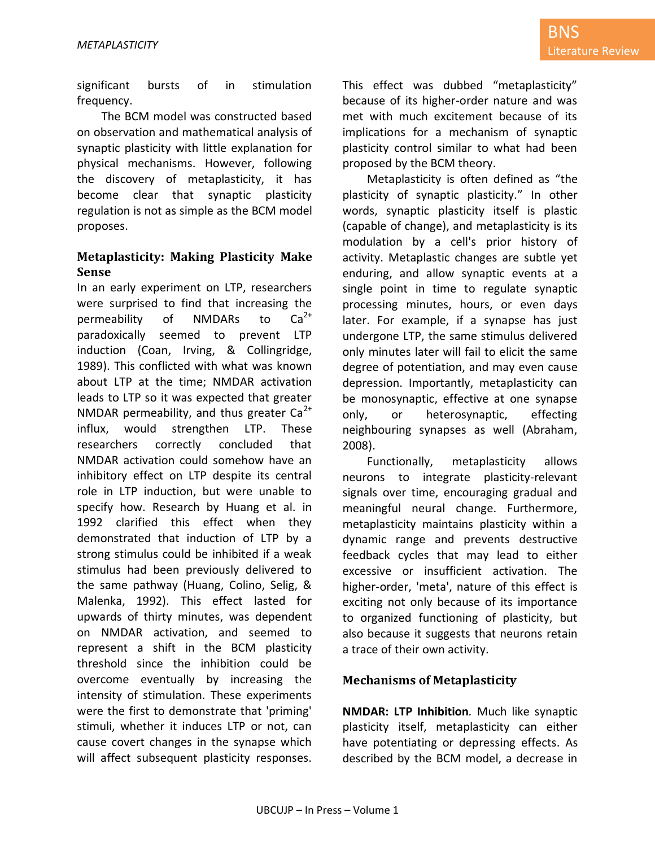significant bursts of in stimulation frequency.

The BCM model was constructed based on observation and mathematical analysis of synaptic plasticity with little explanation for physical mechanisms. However, following the discovery of metaplasticity, it has become clear that synaptic plasticity regulation is not as simple as the BCM model proposes.

### **Metaplasticity: Making Plasticity Make Sense**

In an early experiment on LTP, researchers were surprised to find that increasing the permeability of NMDARs to  $Ca^{2+}$ paradoxically seemed to prevent LTP induction (Coan, Irving, & Collingridge, 1989). This conflicted with what was known about LTP at the time; NMDAR activation leads to LTP so it was expected that greater NMDAR permeability, and thus greater  $Ca^{2+}$ influx, would strengthen LTP. These researchers correctly concluded that NMDAR activation could somehow have an inhibitory effect on LTP despite its central role in LTP induction, but were unable to specify how. Research by Huang et al. in 1992 clarified this effect when they demonstrated that induction of LTP by a strong stimulus could be inhibited if a weak stimulus had been previously delivered to the same pathway (Huang, Colino, Selig, & Malenka, 1992). This effect lasted for upwards of thirty minutes, was dependent on NMDAR activation, and seemed to represent a shift in the BCM plasticity threshold since the inhibition could be overcome eventually by increasing the intensity of stimulation. These experiments were the first to demonstrate that 'priming' stimuli, whether it induces LTP or not, can cause covert changes in the synapse which will affect subsequent plasticity responses. This effect was dubbed "metaplasticity" because of its higher-order nature and was met with much excitement because of its implications for a mechanism of synaptic plasticity control similar to what had been proposed by the BCM theory.

Metaplasticity is often defined as "the plasticity of synaptic plasticity." In other words, synaptic plasticity itself is plastic (capable of change), and metaplasticity is its modulation by a cell's prior history of activity. Metaplastic changes are subtle yet enduring, and allow synaptic events at a single point in time to regulate synaptic processing minutes, hours, or even days later. For example, if a synapse has just undergone LTP, the same stimulus delivered only minutes later will fail to elicit the same degree of potentiation, and may even cause depression. Importantly, metaplasticity can be monosynaptic, effective at one synapse only, or heterosynaptic, effecting neighbouring synapses as well (Abraham, 2008).

Functionally, metaplasticity allows neurons to integrate plasticity-relevant signals over time, encouraging gradual and meaningful neural change. Furthermore, metaplasticity maintains plasticity within a dynamic range and prevents destructive feedback cycles that may lead to either excessive or insufficient activation. The higher-order, 'meta', nature of this effect is exciting not only because of its importance to organized functioning of plasticity, but also because it suggests that neurons retain a trace of their own activity.

### **Mechanisms of Metaplasticity**

**NMDAR: LTP Inhibition***.* Much like synaptic plasticity itself, metaplasticity can either have potentiating or depressing effects. As described by the BCM model, a decrease in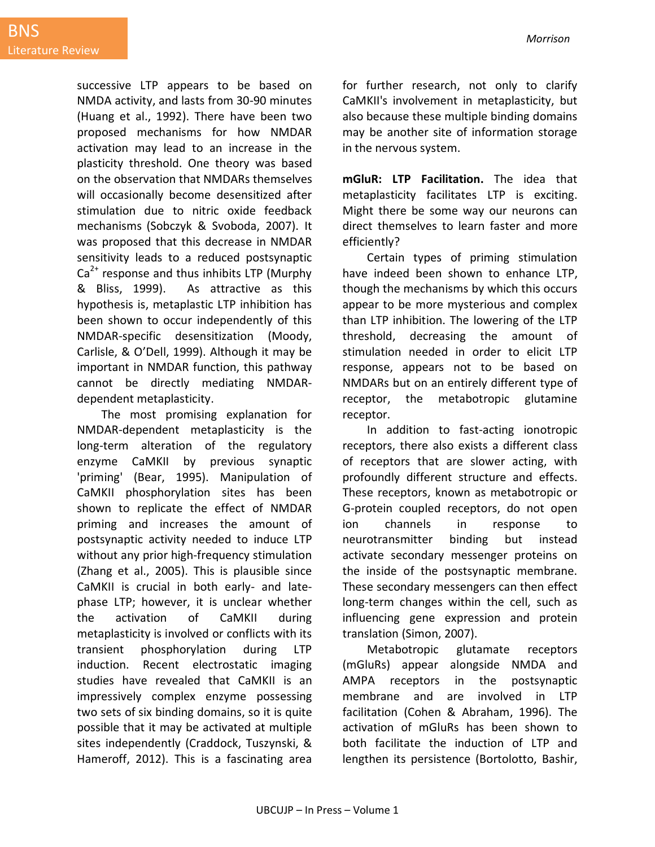successive LTP appears to be based on NMDA activity, and lasts from 30-90 minutes (Huang et al., 1992). There have been two proposed mechanisms for how NMDAR activation may lead to an increase in the plasticity threshold. One theory was based on the observation that NMDARs themselves will occasionally become desensitized after stimulation due to nitric oxide feedback mechanisms (Sobczyk & Svoboda, 2007). It was proposed that this decrease in NMDAR sensitivity leads to a reduced postsynaptic  $Ca<sup>2+</sup>$  response and thus inhibits LTP (Murphy & Bliss, 1999). As attractive as this hypothesis is, metaplastic LTP inhibition has been shown to occur independently of this NMDAR-specific desensitization (Moody, Carlisle, & O'Dell, 1999). Although it may be important in NMDAR function, this pathway cannot be directly mediating NMDARdependent metaplasticity.

The most promising explanation for NMDAR-dependent metaplasticity is the long-term alteration of the regulatory enzyme CaMKII by previous synaptic 'priming' (Bear, 1995). Manipulation of CaMKII phosphorylation sites has been shown to replicate the effect of NMDAR priming and increases the amount of postsynaptic activity needed to induce LTP without any prior high-frequency stimulation (Zhang et al., 2005). This is plausible since CaMKII is crucial in both early- and latephase LTP; however, it is unclear whether the activation of CaMKII during metaplasticity is involved or conflicts with its transient phosphorylation during LTP induction. Recent electrostatic imaging studies have revealed that CaMKII is an impressively complex enzyme possessing two sets of six binding domains, so it is quite possible that it may be activated at multiple sites independently (Craddock, Tuszynski, & Hameroff, 2012). This is a fascinating area

for further research, not only to clarify CaMKII's involvement in metaplasticity, but also because these multiple binding domains may be another site of information storage in the nervous system.

**mGluR: LTP Facilitation.** The idea that metaplasticity facilitates LTP is exciting. Might there be some way our neurons can direct themselves to learn faster and more efficiently?

Certain types of priming stimulation have indeed been shown to enhance LTP, though the mechanisms by which this occurs appear to be more mysterious and complex than LTP inhibition. The lowering of the LTP threshold, decreasing the amount of stimulation needed in order to elicit LTP response, appears not to be based on NMDARs but on an entirely different type of receptor, the metabotropic glutamine receptor.

In addition to fast-acting ionotropic receptors, there also exists a different class of receptors that are slower acting, with profoundly different structure and effects. These receptors, known as metabotropic or G-protein coupled receptors, do not open ion channels in response to neurotransmitter binding but instead activate secondary messenger proteins on the inside of the postsynaptic membrane. These secondary messengers can then effect long-term changes within the cell, such as influencing gene expression and protein translation (Simon, 2007).

Metabotropic glutamate receptors (mGluRs) appear alongside NMDA and AMPA receptors in the postsynaptic membrane and are involved in LTP facilitation (Cohen & Abraham, 1996). The activation of mGluRs has been shown to both facilitate the induction of LTP and lengthen its persistence (Bortolotto, Bashir,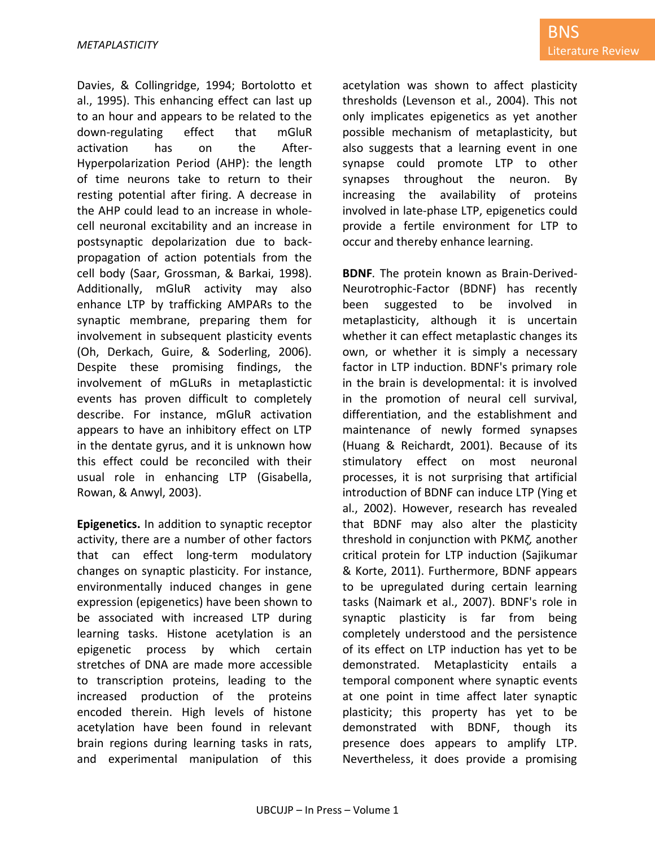Davies, & Collingridge, 1994; Bortolotto et al., 1995). This enhancing effect can last up to an hour and appears to be related to the down-regulating effect that mGluR activation has on the After-Hyperpolarization Period (AHP): the length of time neurons take to return to their resting potential after firing. A decrease in the AHP could lead to an increase in wholecell neuronal excitability and an increase in postsynaptic depolarization due to backpropagation of action potentials from the cell body (Saar, Grossman, & Barkai, 1998). Additionally, mGluR activity may also enhance LTP by trafficking AMPARs to the synaptic membrane, preparing them for involvement in subsequent plasticity events (Oh, Derkach, Guire, & Soderling, 2006). Despite these promising findings, the involvement of mGLuRs in metaplastictic events has proven difficult to completely describe. For instance, mGluR activation appears to have an inhibitory effect on LTP in the dentate gyrus, and it is unknown how this effect could be reconciled with their usual role in enhancing LTP (Gisabella, Rowan, & Anwyl, 2003).

**Epigenetics.** In addition to synaptic receptor activity, there are a number of other factors that can effect long-term modulatory changes on synaptic plasticity. For instance, environmentally induced changes in gene expression (epigenetics) have been shown to be associated with increased LTP during learning tasks. Histone acetylation is an epigenetic process by which certain stretches of DNA are made more accessible to transcription proteins, leading to the increased production of the proteins encoded therein. High levels of histone acetylation have been found in relevant brain regions during learning tasks in rats, and experimental manipulation of this acetylation was shown to affect plasticity thresholds (Levenson et al., 2004). This not only implicates epigenetics as yet another possible mechanism of metaplasticity, but also suggests that a learning event in one synapse could promote LTP to other synapses throughout the neuron. By increasing the availability of proteins involved in late-phase LTP, epigenetics could provide a fertile environment for LTP to occur and thereby enhance learning.

**BDNF***.* The protein known as Brain-Derived-Neurotrophic-Factor (BDNF) has recently been suggested to be involved in metaplasticity, although it is uncertain whether it can effect metaplastic changes its own, or whether it is simply a necessary factor in LTP induction. BDNF's primary role in the brain is developmental: it is involved in the promotion of neural cell survival, differentiation, and the establishment and maintenance of newly formed synapses (Huang & Reichardt, 2001). Because of its stimulatory effect on most neuronal processes, it is not surprising that artificial introduction of BDNF can induce LTP (Ying et al., 2002). However, research has revealed that BDNF may also alter the plasticity threshold in conjunction with PKM*ζ,* another critical protein for LTP induction (Sajikumar & Korte, 2011). Furthermore, BDNF appears to be upregulated during certain learning tasks (Naimark et al., 2007). BDNF's role in synaptic plasticity is far from being completely understood and the persistence of its effect on LTP induction has yet to be demonstrated. Metaplasticity entails a temporal component where synaptic events at one point in time affect later synaptic plasticity; this property has yet to be demonstrated with BDNF, though its presence does appears to amplify LTP. Nevertheless, it does provide a promising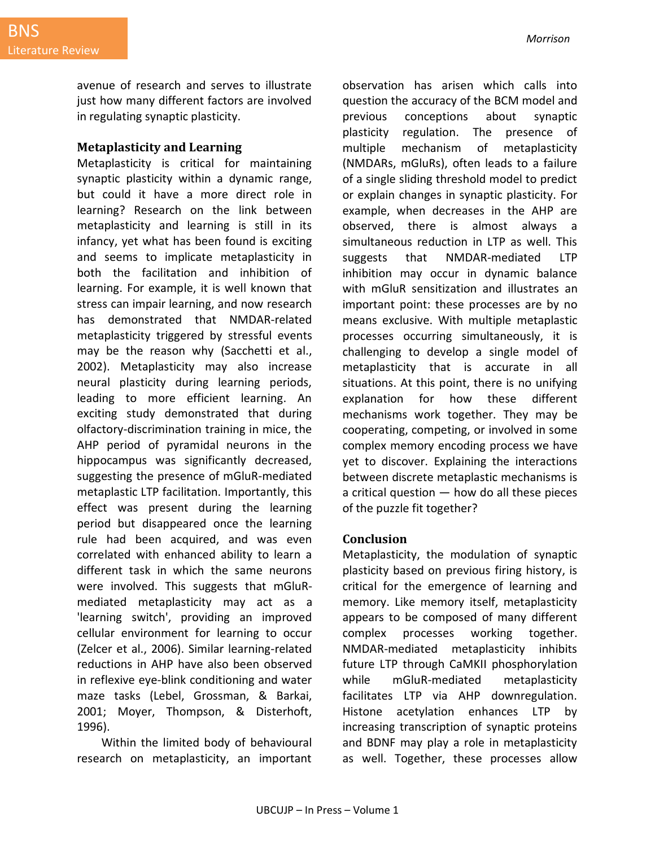avenue of research and serves to illustrate just how many different factors are involved in regulating synaptic plasticity.

#### **Metaplasticity and Learning**

Metaplasticity is critical for maintaining synaptic plasticity within a dynamic range, but could it have a more direct role in learning? Research on the link between metaplasticity and learning is still in its infancy, yet what has been found is exciting and seems to implicate metaplasticity in both the facilitation and inhibition of learning. For example, it is well known that stress can impair learning, and now research has demonstrated that NMDAR-related metaplasticity triggered by stressful events may be the reason why (Sacchetti et al., 2002). Metaplasticity may also increase neural plasticity during learning periods, leading to more efficient learning. An exciting study demonstrated that during olfactory-discrimination training in mice, the AHP period of pyramidal neurons in the hippocampus was significantly decreased, suggesting the presence of mGluR-mediated metaplastic LTP facilitation. Importantly, this effect was present during the learning period but disappeared once the learning rule had been acquired, and was even correlated with enhanced ability to learn a different task in which the same neurons were involved. This suggests that mGluRmediated metaplasticity may act as a 'learning switch', providing an improved cellular environment for learning to occur (Zelcer et al., 2006). Similar learning-related reductions in AHP have also been observed in reflexive eye-blink conditioning and water maze tasks (Lebel, Grossman, & Barkai, 2001; Moyer, Thompson, & Disterhoft, 1996).

Within the limited body of behavioural research on metaplasticity, an important observation has arisen which calls into question the accuracy of the BCM model and previous conceptions about synaptic plasticity regulation. The presence of multiple mechanism of metaplasticity (NMDARs, mGluRs), often leads to a failure of a single sliding threshold model to predict or explain changes in synaptic plasticity. For example, when decreases in the AHP are observed, there is almost always a simultaneous reduction in LTP as well. This suggests that NMDAR-mediated LTP inhibition may occur in dynamic balance with mGluR sensitization and illustrates an important point: these processes are by no means exclusive. With multiple metaplastic processes occurring simultaneously, it is challenging to develop a single model of metaplasticity that is accurate in all situations. At this point, there is no unifying explanation for how these different mechanisms work together. They may be cooperating, competing, or involved in some complex memory encoding process we have yet to discover. Explaining the interactions between discrete metaplastic mechanisms is a critical question  $-$  how do all these pieces of the puzzle fit together?

#### **Conclusion**

Metaplasticity, the modulation of synaptic plasticity based on previous firing history, is critical for the emergence of learning and memory. Like memory itself, metaplasticity appears to be composed of many different complex processes working together. NMDAR-mediated metaplasticity inhibits future LTP through CaMKII phosphorylation while mGluR-mediated metaplasticity facilitates LTP via AHP downregulation. Histone acetylation enhances LTP by increasing transcription of synaptic proteins and BDNF may play a role in metaplasticity as well. Together, these processes allow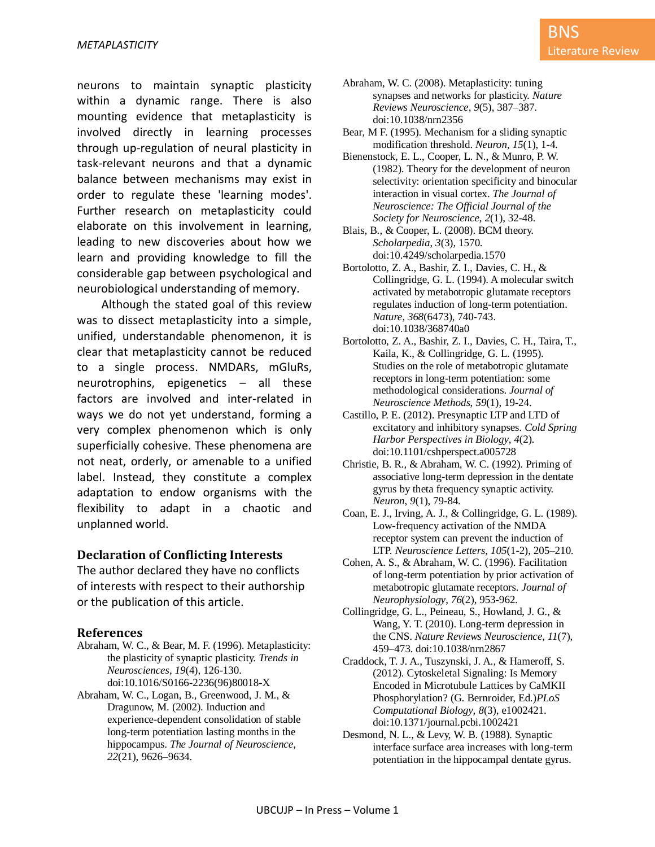neurons to maintain synaptic plasticity within a dynamic range. There is also mounting evidence that metaplasticity is involved directly in learning processes through up-regulation of neural plasticity in task-relevant neurons and that a dynamic balance between mechanisms may exist in order to regulate these 'learning modes'. Further research on metaplasticity could elaborate on this involvement in learning, leading to new discoveries about how we learn and providing knowledge to fill the considerable gap between psychological and neurobiological understanding of memory.

Although the stated goal of this review was to dissect metaplasticity into a simple, unified, understandable phenomenon, it is clear that metaplasticity cannot be reduced to a single process. NMDARs, mGluRs, neurotrophins, epigenetics – all these factors are involved and inter-related in ways we do not yet understand, forming a very complex phenomenon which is only superficially cohesive. These phenomena are not neat, orderly, or amenable to a unified label. Instead, they constitute a complex adaptation to endow organisms with the flexibility to adapt in a chaotic and unplanned world.

#### **Declaration of Conflicting Interests**

The author declared they have no conflicts of interests with respect to their authorship or the publication of this article.

#### **References**

- Abraham, W. C., & Bear, M. F. (1996). Metaplasticity: the plasticity of synaptic plasticity. *Trends in Neurosciences*, *19*(4), 126-130. doi:10.1016/S0166-2236(96)80018-X
- Abraham, W. C., Logan, B., Greenwood, J. M., & Dragunow, M. (2002). Induction and experience-dependent consolidation of stable long-term potentiation lasting months in the hippocampus. *The Journal of Neuroscience*, *22*(21), 9626–9634.
- Abraham, W. C. (2008). Metaplasticity: tuning synapses and networks for plasticity. *Nature Reviews Neuroscience*, *9*(5), 387–387. doi:10.1038/nrn2356
- Bear, M F. (1995). Mechanism for a sliding synaptic modification threshold. *Neuron*, *15*(1), 1-4.
- Bienenstock, E. L., Cooper, L. N., & Munro, P. W. (1982). Theory for the development of neuron selectivity: orientation specificity and binocular interaction in visual cortex. *The Journal of Neuroscience: The Official Journal of the Society for Neuroscience*, *2*(1), 32-48.
- Blais, B., & Cooper, L. (2008). BCM theory. *Scholarpedia*, *3*(3), 1570. doi:10.4249/scholarpedia.1570
- Bortolotto, Z. A., Bashir, Z. I., Davies, C. H., & Collingridge, G. L. (1994). A molecular switch activated by metabotropic glutamate receptors regulates induction of long-term potentiation. *Nature*, *368*(6473), 740-743. doi:10.1038/368740a0
- Bortolotto, Z. A., Bashir, Z. I., Davies, C. H., Taira, T., Kaila, K., & Collingridge, G. L. (1995). Studies on the role of metabotropic glutamate receptors in long-term potentiation: some methodological considerations. *Journal of Neuroscience Methods*, *59*(1), 19-24.
- Castillo, P. E. (2012). Presynaptic LTP and LTD of excitatory and inhibitory synapses. *Cold Spring Harbor Perspectives in Biology*, *4*(2). doi:10.1101/cshperspect.a005728
- Christie, B. R., & Abraham, W. C. (1992). Priming of associative long-term depression in the dentate gyrus by theta frequency synaptic activity. *Neuron*, *9*(1), 79-84.
- Coan, E. J., Irving, A. J., & Collingridge, G. L. (1989). Low-frequency activation of the NMDA receptor system can prevent the induction of LTP. *Neuroscience Letters*, *105*(1-2), 205–210.
- Cohen, A. S., & Abraham, W. C. (1996). Facilitation of long-term potentiation by prior activation of metabotropic glutamate receptors. *Journal of Neurophysiology*, *76*(2), 953-962.
- Collingridge, G. L., Peineau, S., Howland, J. G., & Wang, Y. T. (2010). Long-term depression in the CNS. *Nature Reviews Neuroscience*, *11*(7), 459–473. doi:10.1038/nrn2867
- Craddock, T. J. A., Tuszynski, J. A., & Hameroff, S. (2012). Cytoskeletal Signaling: Is Memory Encoded in Microtubule Lattices by CaMKII Phosphorylation? (G. Bernroider, Ed.)*PLoS Computational Biology*, *8*(3), e1002421. doi:10.1371/journal.pcbi.1002421
- Desmond, N. L., & Levy, W. B. (1988). Synaptic interface surface area increases with long-term potentiation in the hippocampal dentate gyrus.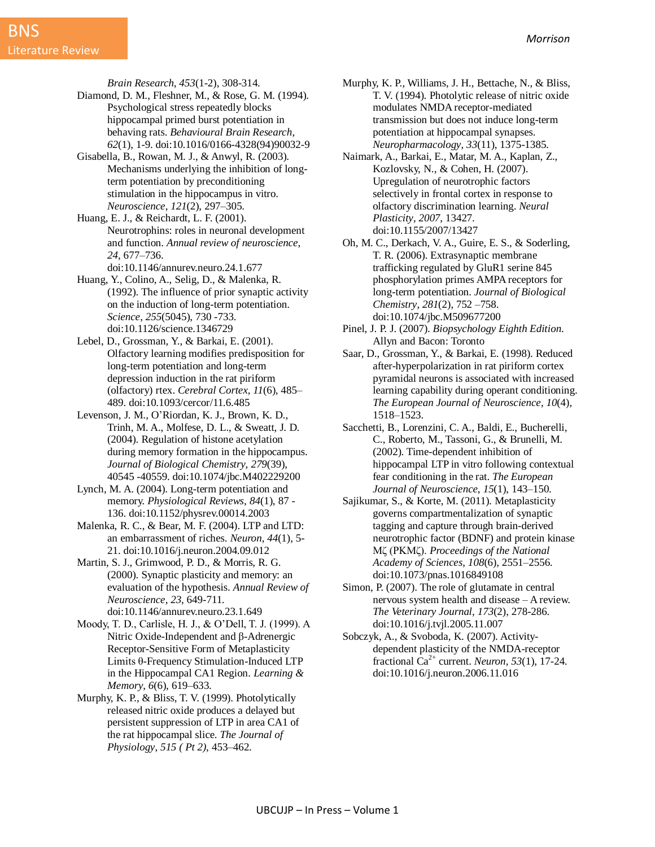*Brain Research*, *453*(1-2), 308-314.

- Diamond, D. M., Fleshner, M., & Rose, G. M. (1994). Psychological stress repeatedly blocks hippocampal primed burst potentiation in behaving rats. *Behavioural Brain Research*, *62*(1), 1-9. doi:10.1016/0166-4328(94)90032-9
- Gisabella, B., Rowan, M. J., & Anwyl, R. (2003). Mechanisms underlying the inhibition of longterm potentiation by preconditioning stimulation in the hippocampus in vitro. *Neuroscience*, *121*(2), 297–305.
- Huang, E. J., & Reichardt, L. F. (2001). Neurotrophins: roles in neuronal development and function. *Annual review of neuroscience*, *24*, 677–736.
	- doi:10.1146/annurev.neuro.24.1.677
- Huang, Y., Colino, A., Selig, D., & Malenka, R. (1992). The influence of prior synaptic activity on the induction of long-term potentiation. *Science*, *255*(5045), 730 -733. doi:10.1126/science.1346729
- Lebel, D., Grossman, Y., & Barkai, E. (2001). Olfactory learning modifies predisposition for long-term potentiation and long-term depression induction in the rat piriform (olfactory) rtex. *Cerebral Cortex*, *11*(6), 485– 489. doi:10.1093/cercor/11.6.485
- Levenson, J. M., O'Riordan, K. J., Brown, K. D., Trinh, M. A., Molfese, D. L., & Sweatt, J. D. (2004). Regulation of histone acetylation during memory formation in the hippocampus. *Journal of Biological Chemistry*, *279*(39), 40545 -40559. doi:10.1074/jbc.M402229200
- Lynch, M. A. (2004). Long-term potentiation and memory. *Physiological Reviews*, *84*(1), 87 - 136. doi:10.1152/physrev.00014.2003
- Malenka, R. C., & Bear, M. F. (2004). LTP and LTD: an embarrassment of riches. *Neuron*, *44*(1), 5- 21. doi:10.1016/j.neuron.2004.09.012
- Martin, S. J., Grimwood, P. D., & Morris, R. G. (2000). Synaptic plasticity and memory: an evaluation of the hypothesis. *Annual Review of Neuroscience*, *23*, 649-711. doi:10.1146/annurev.neuro.23.1.649
- Moody, T. D., Carlisle, H. J., & O'Dell, T. J. (1999). A Nitric Oxide-Independent and β-Adrenergic Receptor-Sensitive Form of Metaplasticity Limits θ-Frequency Stimulation-Induced LTP in the Hippocampal CA1 Region. *Learning & Memory*, *6*(6), 619–633.
- Murphy, K. P., & Bliss, T. V. (1999). Photolytically released nitric oxide produces a delayed but persistent suppression of LTP in area CA1 of the rat hippocampal slice. *The Journal of Physiology*, *515 ( Pt 2)*, 453–462.
- Murphy, K. P., Williams, J. H., Bettache, N., & Bliss, T. V. (1994). Photolytic release of nitric oxide modulates NMDA receptor-mediated transmission but does not induce long-term potentiation at hippocampal synapses. *Neuropharmacology*, *33*(11), 1375-1385.
- Naimark, A., Barkai, E., Matar, M. A., Kaplan, Z., Kozlovsky, N., & Cohen, H. (2007). Upregulation of neurotrophic factors selectively in frontal cortex in response to olfactory discrimination learning. *Neural Plasticity*, *2007*, 13427. doi:10.1155/2007/13427
- Oh, M. C., Derkach, V. A., Guire, E. S., & Soderling, T. R. (2006). Extrasynaptic membrane trafficking regulated by GluR1 serine 845 phosphorylation primes AMPA receptors for long-term potentiation. *Journal of Biological Chemistry*, *281*(2), 752 –758. doi:10.1074/jbc.M509677200
- Pinel, J. P. J. (2007). *Biopsychology Eighth Edition*. Allyn and Bacon: Toronto
- Saar, D., Grossman, Y., & Barkai, E. (1998). Reduced after-hyperpolarization in rat piriform cortex pyramidal neurons is associated with increased learning capability during operant conditioning. *The European Journal of Neuroscience*, *10*(4), 1518–1523.
- Sacchetti, B., Lorenzini, C. A., Baldi, E., Bucherelli, C., Roberto, M., Tassoni, G., & Brunelli, M. (2002). Time-dependent inhibition of hippocampal LTP in vitro following contextual fear conditioning in the rat. *The European Journal of Neuroscience*, *15*(1), 143–150.
- Sajikumar, S., & Korte, M. (2011). Metaplasticity governs compartmentalization of synaptic tagging and capture through brain-derived neurotrophic factor (BDNF) and protein kinase Mζ (PKMζ). *Proceedings of the National Academy of Sciences*, *108*(6), 2551–2556. doi:10.1073/pnas.1016849108
- Simon, P. (2007). The role of glutamate in central nervous system health and disease – A review. *The Veterinary Journal*, *173*(2), 278-286. doi:10.1016/j.tvjl.2005.11.007
- Sobczyk, A., & Svoboda, K. (2007). Activitydependent plasticity of the NMDA-receptor fractional Ca<sup>2+</sup> current. *Neuron*, 53(1), 17-24. doi:10.1016/j.neuron.2006.11.016